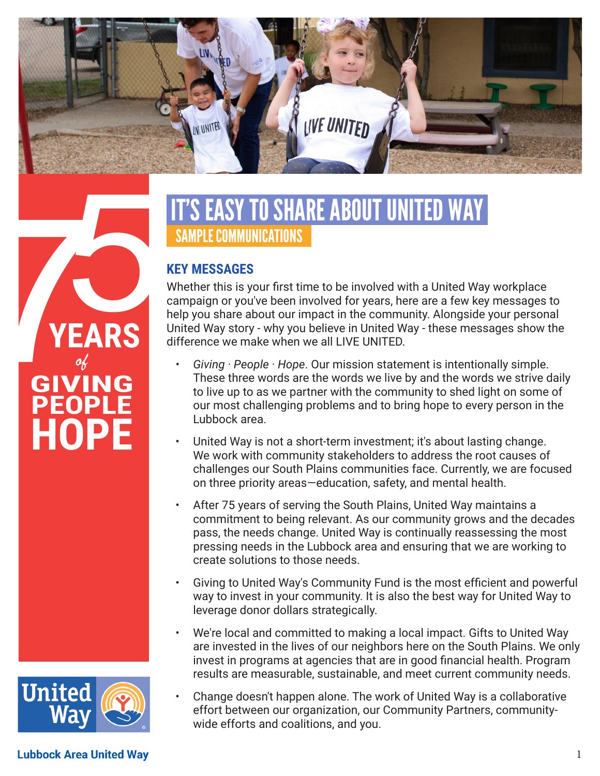

# IT'S EASY TO SHARE ABOUT UNITED WAY SAMPLE COMMUNICATIONS

#### **KEY MESSAGES**

Whether this is your first time to be involved with a United Way workplace campaign or you've been involved for years, here are a few key messages to help you share about our impact in the community. Alongside your personal United Way story - why you believe in United Way - these messages show the difference we make when we all LIVE UNITED.

- *• Giving · People · Hope*. Our mission statement is intentionally simple. These three words are the words we live by and the words we strive daily to live up to as we partner with the community to shed light on some of our most challenging problems and to bring hope to every person in the Lubbock area.
- United Way is not a short-term investment; it's about lasting change. We work with community stakeholders to address the root causes of challenges our South Plains communities face. Currently, we are focused on three priority areas—education, safety, and mental health.
- After 75 years of serving the South Plains, United Way maintains a commitment to being relevant. As our community grows and the decades pass, the needs change. United Way is continually reassessing the most pressing needs in the Lubbock area and ensuring that we are working to create solutions to those needs.
- Giving to United Way's Community Fund is the most efficient and powerful way to invest in your community. It is also the best way for United Way to leverage donor dollars strategically.
- We're local and committed to making a local impact. Gifts to United Way are invested in the lives of our neighbors here on the South Plains. We only invest in programs at agencies that are in good financial health. Program results are measurable, sustainable, and meet current community needs.
- Change doesn't happen alone. The work of United Way is a collaborative effort between our organization, our Community Partners, communitywide efforts and coalitions, and you.





**Lubbock Area United Way**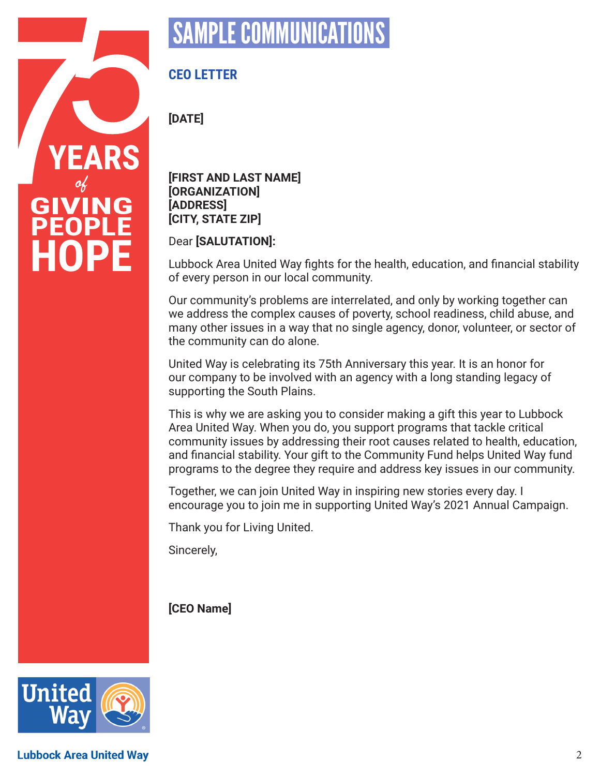

# SAMPLE COMMUNICATIO

### **CEO LETTER**

**[DATE]**

**[FIRST AND LAST NAME] [ORGANIZATION] [ADDRESS] [CITY, STATE ZIP]**

Dear **[SALUTATION]:**

Lubbock Area United Way fights for the health, education, and financial stability of every person in our local community.

Our community's problems are interrelated, and only by working together can we address the complex causes of poverty, school readiness, child abuse, and many other issues in a way that no single agency, donor, volunteer, or sector of the community can do alone.

United Way is celebrating its 75th Anniversary this year. It is an honor for our company to be involved with an agency with a long standing legacy of supporting the South Plains.

This is why we are asking you to consider making a gift this year to Lubbock Area United Way. When you do, you support programs that tackle critical community issues by addressing their root causes related to health, education, and financial stability. Your gift to the Community Fund helps United Way fund programs to the degree they require and address key issues in our community.

Together, we can join United Way in inspiring new stories every day. I encourage you to join me in supporting United Way's 2021 Annual Campaign.

Thank you for Living United.

Sincerely,

#### **[CEO Name]**



**Lubbock Area United Way**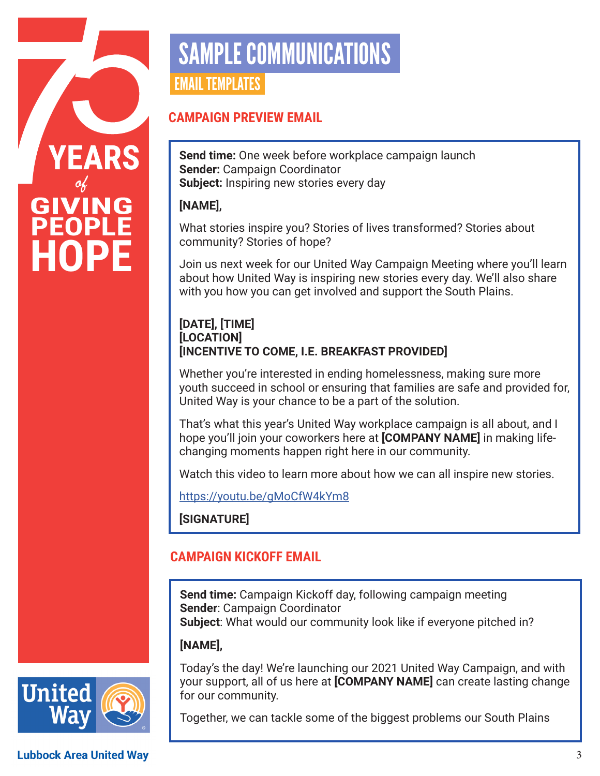

# SAMPLE COMMUNICATIONS EMAIL TEMPLATES

#### **CAMPAIGN PREVIEW EMAIL**

**Send time:** One week before workplace campaign launch **Sender:** Campaign Coordinator **Subject:** Inspiring new stories every day

#### **[NAME],**

What stories inspire you? Stories of lives transformed? Stories about community? Stories of hope?

Join us next week for our United Way Campaign Meeting where you'll learn about how United Way is inspiring new stories every day. We'll also share with you how you can get involved and support the South Plains.

#### **[DATE], [TIME] [LOCATION] [INCENTIVE TO COME, I.E. BREAKFAST PROVIDED]**

Whether you're interested in ending homelessness, making sure more youth succeed in school or ensuring that families are safe and provided for, United Way is your chance to be a part of the solution.

That's what this year's United Way workplace campaign is all about, and I hope you'll join your coworkers here at **[COMPANY NAME]** in making lifechanging moments happen right here in our community.

Watch this video to learn more about how we can all inspire new stories.

https://youtu.be/gMoCfW4kYm8

**[SIGNATURE]**

### **CAMPAIGN KICKOFF EMAIL**

**Send time:** Campaign Kickoff day, following campaign meeting **Sender**: Campaign Coordinator **Subject**: What would our community look like if everyone pitched in?

#### **[NAME],**

Today's the day! We're launching our 2021 United Way Campaign, and with your support, all of us here at **[COMPANY NAME]** can create lasting change for our community.

Together, we can tackle some of the biggest problems our South Plains

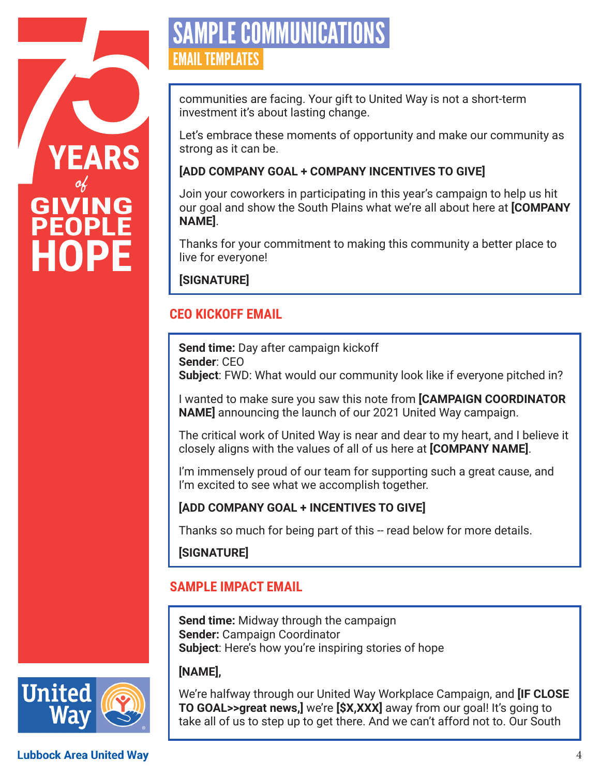

# SAMPLE COMMUNICATIO EMAIL TEMPLATES

communities are facing. Your gift to United Way is not a short-term investment it's about lasting change.

Let's embrace these moments of opportunity and make our community as strong as it can be.

#### **[ADD COMPANY GOAL + COMPANY INCENTIVES TO GIVE]**

Join your coworkers in participating in this year's campaign to help us hit our goal and show the South Plains what we're all about here at **[COMPANY NAME]**.

Thanks for your commitment to making this community a better place to live for everyone!

**[SIGNATURE]**

## **CEO KICKOFF EMAIL**

**Send time:** Day after campaign kickoff **Sender**: CEO **Subject**: FWD: What would our community look like if everyone pitched in?

I wanted to make sure you saw this note from **[CAMPAIGN COORDINATOR NAME]** announcing the launch of our 2021 United Way campaign.

The critical work of United Way is near and dear to my heart, and I believe it closely aligns with the values of all of us here at **[COMPANY NAME]**.

I'm immensely proud of our team for supporting such a great cause, and I'm excited to see what we accomplish together.

### **[ADD COMPANY GOAL + INCENTIVES TO GIVE]**

Thanks so much for being part of this -- read below for more details.

**[SIGNATURE]**

# **SAMPLE IMPACT EMAIL**

**Send time:** Midway through the campaign **Sender:** Campaign Coordinator **Subject**: Here's how you're inspiring stories of hope

### **[NAME],**

We're halfway through our United Way Workplace Campaign, and **[IF CLOSE TO GOAL>>great news,]** we're **[\$X,XXX]** away from our goal! It's going to take all of us to step up to get there. And we can't afford not to. Our South

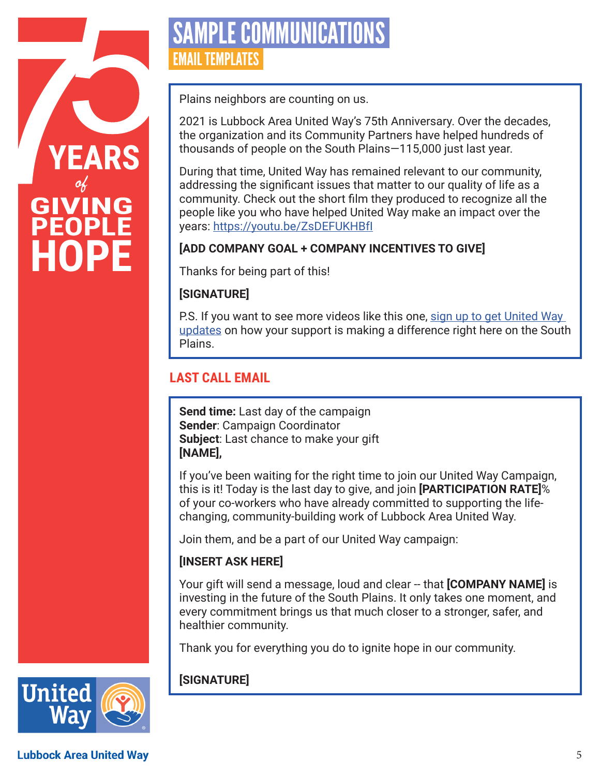

# SAMPLE COMMUNICATIO EMAIL TEMPLATES

Plains neighbors are counting on us.

2021 is Lubbock Area United Way's 75th Anniversary. Over the decades, the organization and its Community Partners have helped hundreds of thousands of people on the South Plains—115,000 just last year.

During that time, United Way has remained relevant to our community, addressing the significant issues that matter to our quality of life as a community. Check out the short film they produced to recognize all the people like you who have helped United Way make an impact over the years: https://youtu.be/ZsDEFUKHBfI

#### **[ADD COMPANY GOAL + COMPANY INCENTIVES TO GIVE]**

Thanks for being part of this!

#### **[SIGNATURE]**

P.S. If you want to see more videos like this one, sign up to get United Way updates on how your support is making a difference right here on the South Plains.

### **LAST CALL EMAIL**

**Send time:** Last day of the campaign **Sender**: Campaign Coordinator **Subject**: Last chance to make your gift **[NAME],**

If you've been waiting for the right time to join our United Way Campaign, this is it! Today is the last day to give, and join **[PARTICIPATION RATE]**% of your co-workers who have already committed to supporting the lifechanging, community-building work of Lubbock Area United Way.

Join them, and be a part of our United Way campaign:

#### **[INSERT ASK HERE]**

Your gift will send a message, loud and clear -- that **[COMPANY NAME]** is investing in the future of the South Plains. It only takes one moment, and every commitment brings us that much closer to a stronger, safer, and healthier community.

Thank you for everything you do to ignite hope in our community.

### **[SIGNATURE]**



**Lubbock Area United Way**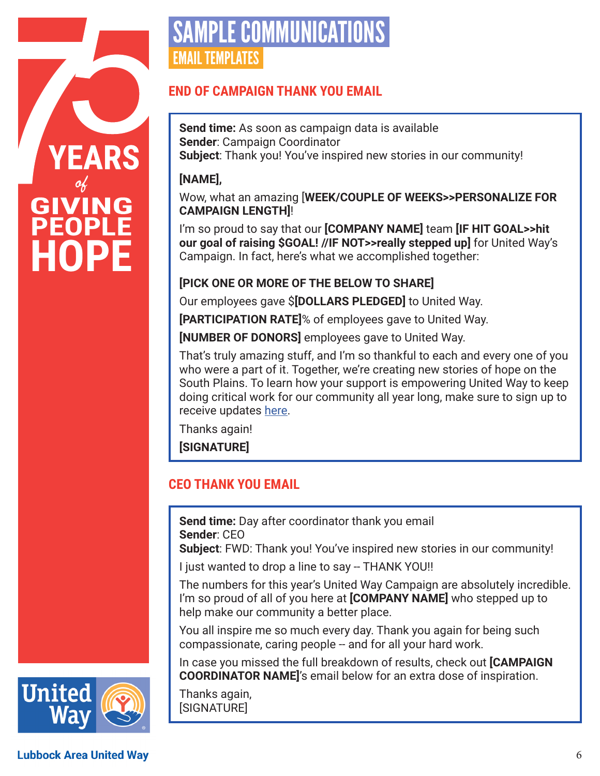

# SAMPLE COMMUNICATION EMAIL TEMPLATES

#### **END OF CAMPAIGN THANK YOU EMAIL**

**Send time:** As soon as campaign data is available **Sender**: Campaign Coordinator **Subject**: Thank you! You've inspired new stories in our community!

#### **[NAME],**

Wow, what an amazing [**WEEK/COUPLE OF WEEKS>>PERSONALIZE FOR CAMPAIGN LENGTH]**!

I'm so proud to say that our **[COMPANY NAME]** team **[IF HIT GOAL>>hit our goal of raising \$GOAL! //IF NOT>>really stepped up]** for United Way's Campaign. In fact, here's what we accomplished together:

#### **[PICK ONE OR MORE OF THE BELOW TO SHARE]**

Our employees gave \$**[DOLLARS PLEDGED]** to United Way.

**[PARTICIPATION RATE]**% of employees gave to United Way.

**[NUMBER OF DONORS]** employees gave to United Way.

That's truly amazing stuff, and I'm so thankful to each and every one of you who were a part of it. Together, we're creating new stories of hope on the South Plains. To learn how your support is empowering United Way to keep doing critical work for our community all year long, make sure to sign up to receive updates here.

Thanks again!

**[SIGNATURE]**

#### **CEO THANK YOU EMAIL**

**Send time:** Day after coordinator thank you email **Sender**: CEO

**Subject**: FWD: Thank you! You've inspired new stories in our community!

I just wanted to drop a line to say -- THANK YOU!!

The numbers for this year's United Way Campaign are absolutely incredible. I'm so proud of all of you here at **[COMPANY NAME]** who stepped up to help make our community a better place.

You all inspire me so much every day. Thank you again for being such compassionate, caring people -- and for all your hard work.

In case you missed the full breakdown of results, check out **[CAMPAIGN COORDINATOR NAME]**'s email below for an extra dose of inspiration.

Thanks again, [SIGNATURE]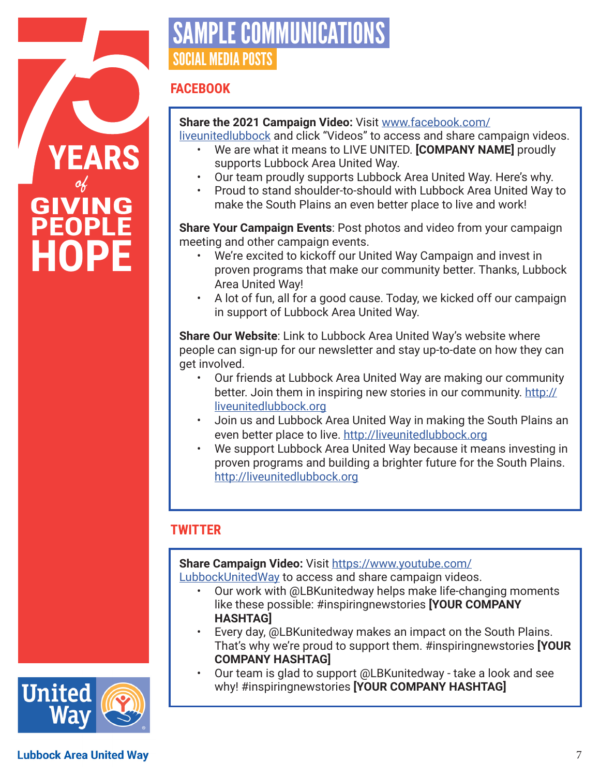

# SAMPLE COMMUNICATIO SOCIAL MEDIA POSTS

#### **FACEBOOK**

#### **Share the 2021 Campaign Video:** Visit www.facebook.com/

liveunitedlubbock and click "Videos" to access and share campaign videos.

- We are what it means to LIVE UNITED. **[COMPANY NAME]** proudly supports Lubbock Area United Way.
- Our team proudly supports Lubbock Area United Way. Here's why.
- Proud to stand shoulder-to-should with Lubbock Area United Way to make the South Plains an even better place to live and work!

**Share Your Campaign Events**: Post photos and video from your campaign meeting and other campaign events.

- We're excited to kickoff our United Way Campaign and invest in proven programs that make our community better. Thanks, Lubbock Area United Way!
- A lot of fun, all for a good cause. Today, we kicked off our campaign in support of Lubbock Area United Way.

**Share Our Website**: Link to Lubbock Area United Way's website where people can sign-up for our newsletter and stay up-to-date on how they can get involved.

- Our friends at Lubbock Area United Way are making our community better. Join them in inspiring new stories in our community. http:// liveunitedlubbock.org
- Join us and Lubbock Area United Way in making the South Plains an even better place to live. http://liveunitedlubbock.org
- We support Lubbock Area United Way because it means investing in proven programs and building a brighter future for the South Plains. http://liveunitedlubbock.org

#### **TWITTER**

**Share Campaign Video:** Visit https://www.youtube.com/

LubbockUnitedWay to access and share campaign videos.

- Our work with @LBKunitedway helps make life-changing moments like these possible: #inspiringnewstories **[YOUR COMPANY HASHTAG]**
- Every day, @LBKunitedway makes an impact on the South Plains. That's why we're proud to support them. #inspiringnewstories **[YOUR COMPANY HASHTAG]**
- Our team is glad to support @LBKunitedway take a look and see why! #inspiringnewstories **[YOUR COMPANY HASHTAG]**